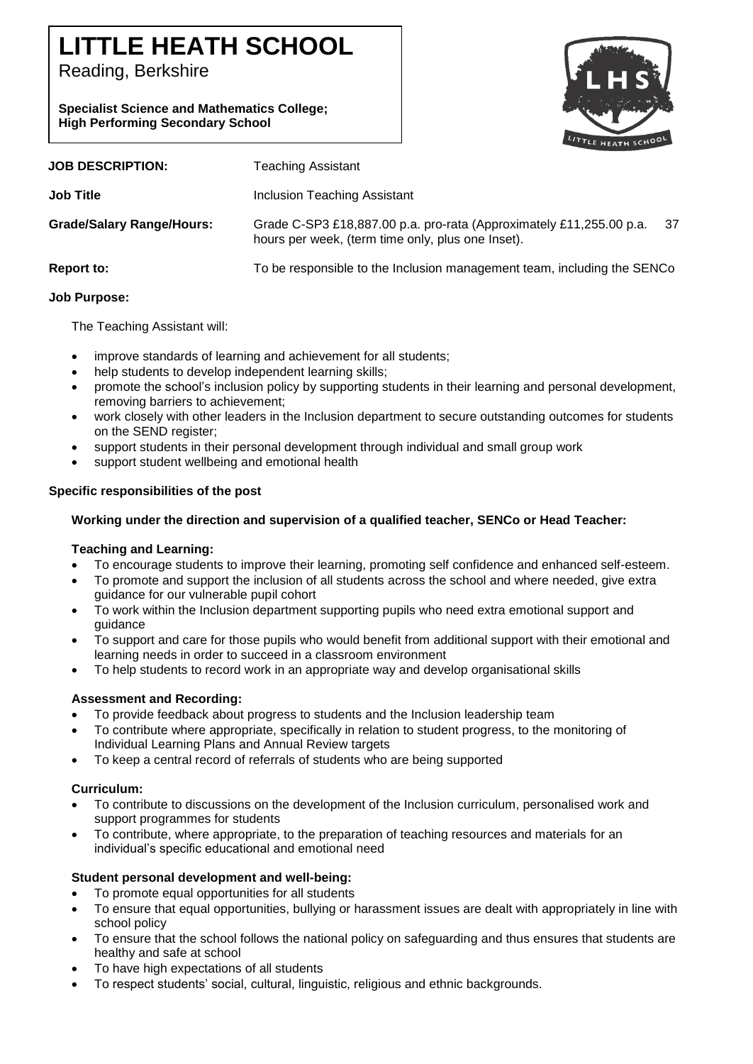# **LITTLE HEATH SCHOOL**

Reading, Berkshire

**Specialist Science and Mathematics College; High Performing Secondary School**



| <b>JOB DESCRIPTION:</b>          | Teaching Assistant                                                                                                             |
|----------------------------------|--------------------------------------------------------------------------------------------------------------------------------|
| <b>Job Title</b>                 | Inclusion Teaching Assistant                                                                                                   |
| <b>Grade/Salary Range/Hours:</b> | 37<br>Grade C-SP3 £18,887.00 p.a. pro-rata (Approximately £11,255.00 p.a.<br>hours per week, (term time only, plus one Inset). |
| Report to:                       | To be responsible to the Inclusion management team, including the SENCo                                                        |

## **Job Purpose:**

The Teaching Assistant will:

- improve standards of learning and achievement for all students;
- help students to develop independent learning skills;
- promote the school's inclusion policy by supporting students in their learning and personal development, removing barriers to achievement;
- work closely with other leaders in the Inclusion department to secure outstanding outcomes for students on the SEND register;
- support students in their personal development through individual and small group work
- support student wellbeing and emotional health

## **Specific responsibilities of the post**

## **Working under the direction and supervision of a qualified teacher, SENCo or Head Teacher:**

## **Teaching and Learning:**

- To encourage students to improve their learning, promoting self confidence and enhanced self-esteem.
- To promote and support the inclusion of all students across the school and where needed, give extra guidance for our vulnerable pupil cohort
- To work within the Inclusion department supporting pupils who need extra emotional support and guidance
- To support and care for those pupils who would benefit from additional support with their emotional and learning needs in order to succeed in a classroom environment
- To help students to record work in an appropriate way and develop organisational skills

# **Assessment and Recording:**

- To provide feedback about progress to students and the Inclusion leadership team
- To contribute where appropriate, specifically in relation to student progress, to the monitoring of Individual Learning Plans and Annual Review targets
- To keep a central record of referrals of students who are being supported

# **Curriculum:**

- To contribute to discussions on the development of the Inclusion curriculum, personalised work and support programmes for students
- To contribute, where appropriate, to the preparation of teaching resources and materials for an individual's specific educational and emotional need

## **Student personal development and well-being:**

- To promote equal opportunities for all students
- To ensure that equal opportunities, bullying or harassment issues are dealt with appropriately in line with school policy
- To ensure that the school follows the national policy on safeguarding and thus ensures that students are healthy and safe at school
- To have high expectations of all students
- To respect students' social, cultural, linguistic, religious and ethnic backgrounds.